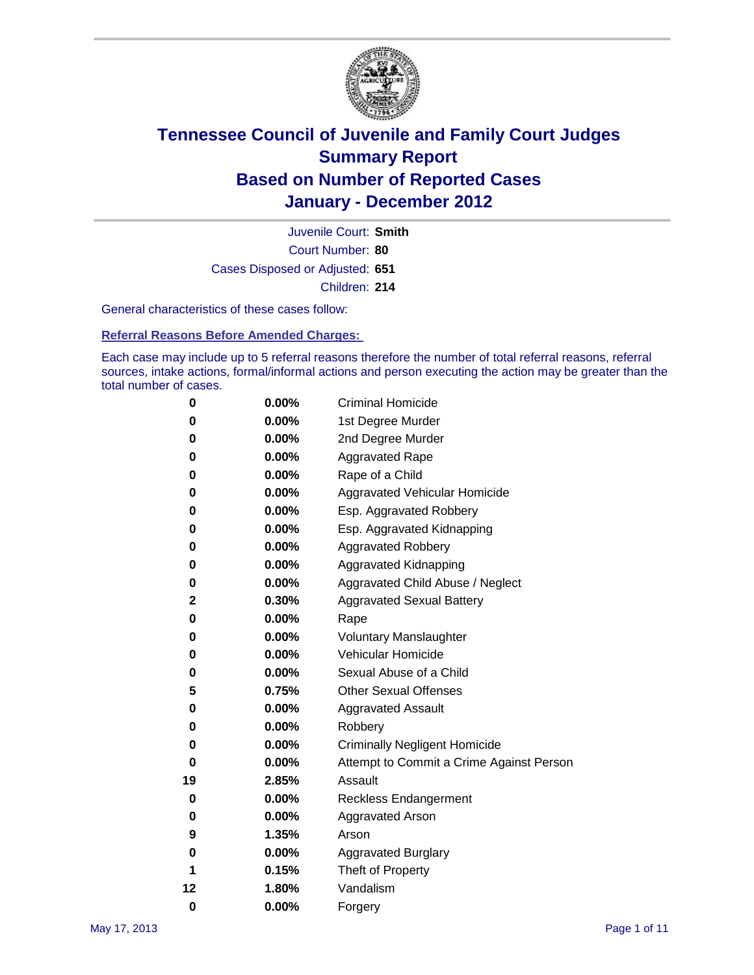

Court Number: **80** Juvenile Court: **Smith** Cases Disposed or Adjusted: **651** Children: **214**

General characteristics of these cases follow:

**Referral Reasons Before Amended Charges:** 

Each case may include up to 5 referral reasons therefore the number of total referral reasons, referral sources, intake actions, formal/informal actions and person executing the action may be greater than the total number of cases.

| 0  | 0.00% | <b>Criminal Homicide</b>                 |
|----|-------|------------------------------------------|
| 0  | 0.00% | 1st Degree Murder                        |
| 0  | 0.00% | 2nd Degree Murder                        |
| 0  | 0.00% | <b>Aggravated Rape</b>                   |
| 0  | 0.00% | Rape of a Child                          |
| 0  | 0.00% | Aggravated Vehicular Homicide            |
| 0  | 0.00% | Esp. Aggravated Robbery                  |
| 0  | 0.00% | Esp. Aggravated Kidnapping               |
| 0  | 0.00% | <b>Aggravated Robbery</b>                |
| 0  | 0.00% | Aggravated Kidnapping                    |
| 0  | 0.00% | Aggravated Child Abuse / Neglect         |
| 2  | 0.30% | <b>Aggravated Sexual Battery</b>         |
| 0  | 0.00% | Rape                                     |
| 0  | 0.00% | <b>Voluntary Manslaughter</b>            |
| 0  | 0.00% | Vehicular Homicide                       |
| 0  | 0.00% | Sexual Abuse of a Child                  |
| 5  | 0.75% | <b>Other Sexual Offenses</b>             |
| 0  | 0.00% | <b>Aggravated Assault</b>                |
| 0  | 0.00% | Robbery                                  |
| 0  | 0.00% | <b>Criminally Negligent Homicide</b>     |
| 0  | 0.00% | Attempt to Commit a Crime Against Person |
| 19 | 2.85% | Assault                                  |
| 0  | 0.00% | <b>Reckless Endangerment</b>             |
| 0  | 0.00% | <b>Aggravated Arson</b>                  |
| 9  | 1.35% | Arson                                    |
| 0  | 0.00% | <b>Aggravated Burglary</b>               |
| 1  | 0.15% | Theft of Property                        |
| 12 | 1.80% | Vandalism                                |
| 0  | 0.00% | Forgery                                  |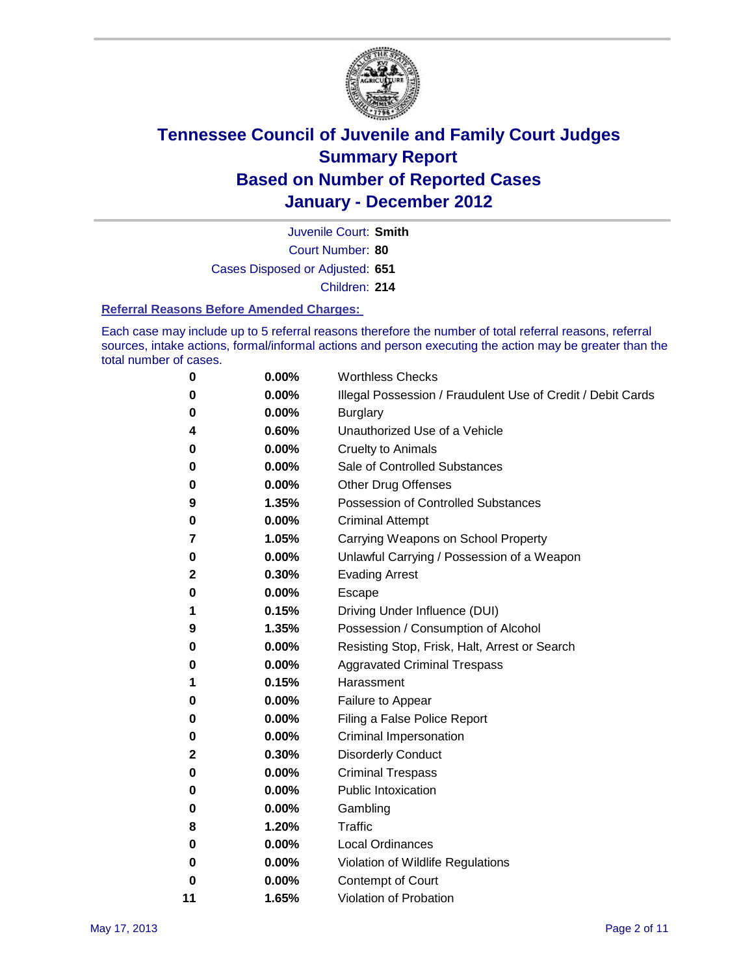

Court Number: **80** Juvenile Court: **Smith** Cases Disposed or Adjusted: **651** Children: **214**

#### **Referral Reasons Before Amended Charges:**

Each case may include up to 5 referral reasons therefore the number of total referral reasons, referral sources, intake actions, formal/informal actions and person executing the action may be greater than the total number of cases.

| 0  | 0.00% | <b>Worthless Checks</b>                                     |
|----|-------|-------------------------------------------------------------|
| 0  | 0.00% | Illegal Possession / Fraudulent Use of Credit / Debit Cards |
| 0  | 0.00% | <b>Burglary</b>                                             |
| 4  | 0.60% | Unauthorized Use of a Vehicle                               |
| 0  | 0.00% | <b>Cruelty to Animals</b>                                   |
| 0  | 0.00% | Sale of Controlled Substances                               |
| 0  | 0.00% | <b>Other Drug Offenses</b>                                  |
| 9  | 1.35% | <b>Possession of Controlled Substances</b>                  |
| 0  | 0.00% | <b>Criminal Attempt</b>                                     |
| 7  | 1.05% | Carrying Weapons on School Property                         |
| 0  | 0.00% | Unlawful Carrying / Possession of a Weapon                  |
| 2  | 0.30% | <b>Evading Arrest</b>                                       |
| 0  | 0.00% | Escape                                                      |
| 1  | 0.15% | Driving Under Influence (DUI)                               |
| 9  | 1.35% | Possession / Consumption of Alcohol                         |
| 0  | 0.00% | Resisting Stop, Frisk, Halt, Arrest or Search               |
| 0  | 0.00% | <b>Aggravated Criminal Trespass</b>                         |
| 1  | 0.15% | Harassment                                                  |
| 0  | 0.00% | Failure to Appear                                           |
| 0  | 0.00% | Filing a False Police Report                                |
| 0  | 0.00% | Criminal Impersonation                                      |
| 2  | 0.30% | <b>Disorderly Conduct</b>                                   |
| 0  | 0.00% | <b>Criminal Trespass</b>                                    |
| 0  | 0.00% | <b>Public Intoxication</b>                                  |
| 0  | 0.00% | Gambling                                                    |
| 8  | 1.20% | <b>Traffic</b>                                              |
| 0  | 0.00% | <b>Local Ordinances</b>                                     |
| 0  | 0.00% | Violation of Wildlife Regulations                           |
| 0  | 0.00% | Contempt of Court                                           |
| 11 | 1.65% | Violation of Probation                                      |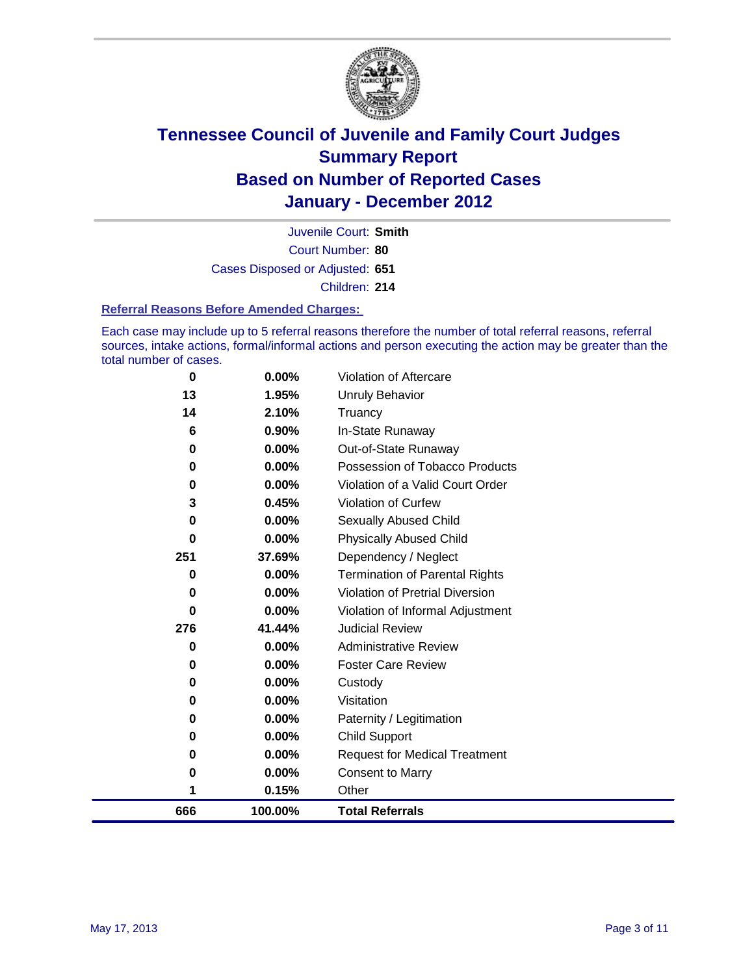

Court Number: **80** Juvenile Court: **Smith** Cases Disposed or Adjusted: **651** Children: **214**

#### **Referral Reasons Before Amended Charges:**

Each case may include up to 5 referral reasons therefore the number of total referral reasons, referral sources, intake actions, formal/informal actions and person executing the action may be greater than the total number of cases.

| 666      | 100.00%        | <b>Total Referrals</b>                 |
|----------|----------------|----------------------------------------|
| 1        | 0.15%          | Other                                  |
| 0        | 0.00%          | <b>Consent to Marry</b>                |
| 0        | 0.00%          | <b>Request for Medical Treatment</b>   |
| 0        | 0.00%          | <b>Child Support</b>                   |
| 0        | 0.00%          | Paternity / Legitimation               |
| 0        | 0.00%          | Visitation                             |
| 0        | 0.00%          | Custody                                |
| 0        | 0.00%          | <b>Foster Care Review</b>              |
| 0        | $0.00\%$       | <b>Administrative Review</b>           |
| 276      | 41.44%         | <b>Judicial Review</b>                 |
| 0        | 0.00%          | Violation of Informal Adjustment       |
| 0        | 0.00%          | <b>Violation of Pretrial Diversion</b> |
| 0        | 0.00%          | <b>Termination of Parental Rights</b>  |
| 251      | 37.69%         | Dependency / Neglect                   |
| $\bf{0}$ | 0.00%          | <b>Physically Abused Child</b>         |
| 0        | 0.00%          | Sexually Abused Child                  |
| 3        | 0.45%          | Violation of Curfew                    |
| 0        | 0.00%          | Violation of a Valid Court Order       |
| 0        | 0.00%          | Possession of Tobacco Products         |
| 0        | 0.00%          | Out-of-State Runaway                   |
| 6        | 0.90%          | In-State Runaway                       |
| 13<br>14 | 1.95%<br>2.10% | Unruly Behavior<br>Truancy             |
|          |                |                                        |
| 0        | $0.00\%$       | Violation of Aftercare                 |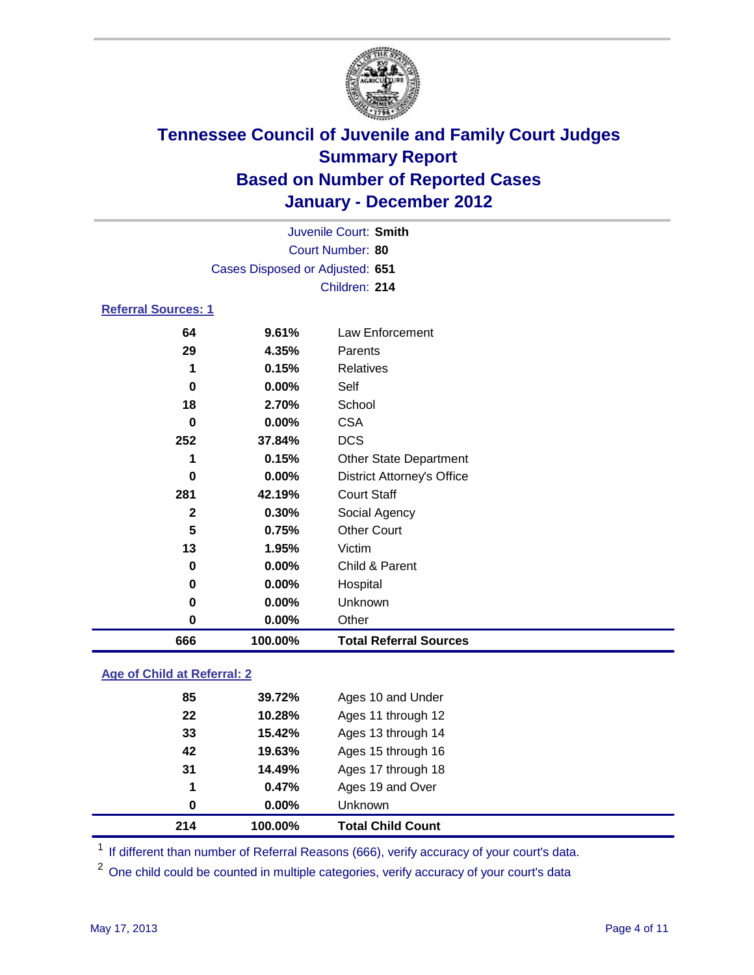

|                            | Juvenile Court: Smith           |                                   |  |  |
|----------------------------|---------------------------------|-----------------------------------|--|--|
|                            | Court Number: 80                |                                   |  |  |
|                            | Cases Disposed or Adjusted: 651 |                                   |  |  |
|                            |                                 | Children: 214                     |  |  |
| <b>Referral Sources: 1</b> |                                 |                                   |  |  |
| 64                         | 9.61%                           | Law Enforcement                   |  |  |
| 29                         | 4.35%                           | Parents                           |  |  |
| 1                          | 0.15%                           | <b>Relatives</b>                  |  |  |
| 0                          | 0.00%                           | Self                              |  |  |
| 18                         | 2.70%                           | School                            |  |  |
| $\bf{0}$                   | 0.00%                           | <b>CSA</b>                        |  |  |
| 252                        | 37.84%                          | <b>DCS</b>                        |  |  |
| 1                          | 0.15%                           | <b>Other State Department</b>     |  |  |
| $\bf{0}$                   | $0.00\%$                        | <b>District Attorney's Office</b> |  |  |
| 281                        | 42.19%                          | <b>Court Staff</b>                |  |  |
| $\mathbf{2}$               | 0.30%                           | Social Agency                     |  |  |
| 5                          | 0.75%                           | <b>Other Court</b>                |  |  |
| 13                         | 1.95%                           | Victim                            |  |  |
| 0                          | 0.00%                           | Child & Parent                    |  |  |
| 0                          | 0.00%                           | Hospital                          |  |  |
| 0                          | 0.00%                           | Unknown                           |  |  |
| 0                          | 0.00%                           | Other                             |  |  |
| 666                        | 100.00%                         | <b>Total Referral Sources</b>     |  |  |

### **Age of Child at Referral: 2**

| 214 | 100.00% | <b>Total Child Count</b> |
|-----|---------|--------------------------|
| 0   | 0.00%   | <b>Unknown</b>           |
| 1   | 0.47%   | Ages 19 and Over         |
| 31  | 14.49%  | Ages 17 through 18       |
| 42  | 19.63%  | Ages 15 through 16       |
| 33  | 15.42%  | Ages 13 through 14       |
| 22  | 10.28%  | Ages 11 through 12       |
| 85  | 39.72%  | Ages 10 and Under        |
|     |         |                          |

<sup>1</sup> If different than number of Referral Reasons (666), verify accuracy of your court's data.

<sup>2</sup> One child could be counted in multiple categories, verify accuracy of your court's data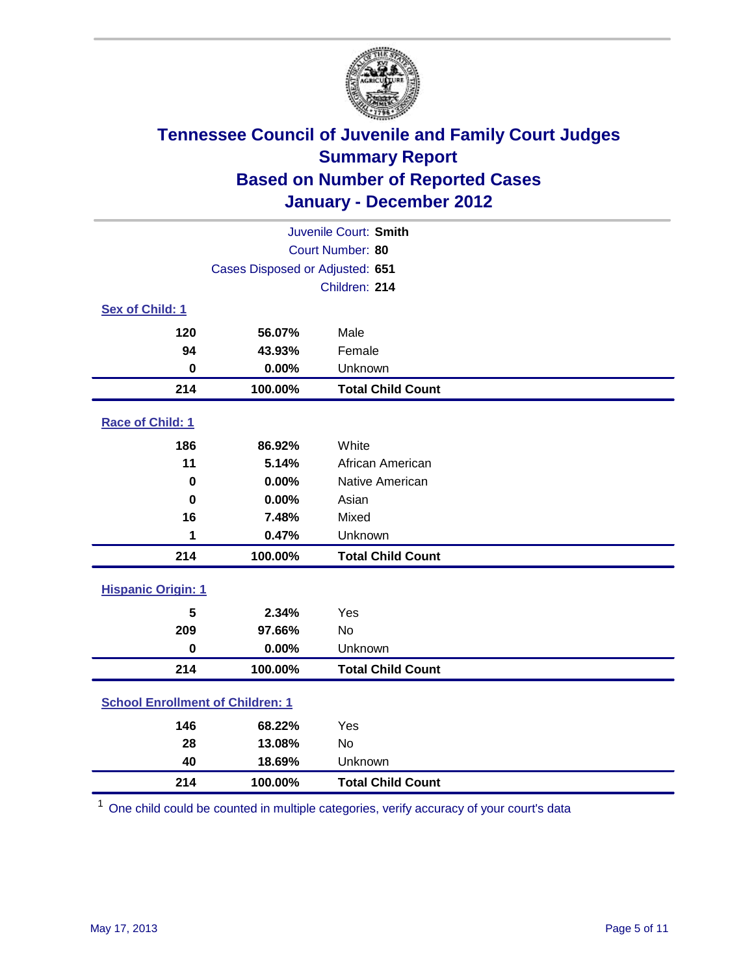

| Juvenile Court: Smith                   |                                 |                          |  |  |
|-----------------------------------------|---------------------------------|--------------------------|--|--|
|                                         | Court Number: 80                |                          |  |  |
|                                         | Cases Disposed or Adjusted: 651 |                          |  |  |
|                                         |                                 | Children: 214            |  |  |
| Sex of Child: 1                         |                                 |                          |  |  |
| 120                                     | 56.07%                          | Male                     |  |  |
| 94                                      | 43.93%                          | Female                   |  |  |
| $\bf{0}$                                | 0.00%                           | Unknown                  |  |  |
| 214                                     | 100.00%                         | <b>Total Child Count</b> |  |  |
| Race of Child: 1                        |                                 |                          |  |  |
| 186                                     | 86.92%                          | White                    |  |  |
| 11                                      | 5.14%                           | African American         |  |  |
| $\mathbf 0$                             | 0.00%                           | Native American          |  |  |
| $\bf{0}$                                | 0.00%                           | Asian                    |  |  |
| 16                                      | 7.48%                           | Mixed                    |  |  |
| 1                                       | 0.47%                           | Unknown                  |  |  |
| 214                                     | 100.00%                         | <b>Total Child Count</b> |  |  |
| <b>Hispanic Origin: 1</b>               |                                 |                          |  |  |
| 5                                       | 2.34%                           | Yes                      |  |  |
| 209                                     | 97.66%                          | <b>No</b>                |  |  |
| $\mathbf 0$                             | 0.00%                           | Unknown                  |  |  |
| 214                                     | 100.00%                         | <b>Total Child Count</b> |  |  |
| <b>School Enrollment of Children: 1</b> |                                 |                          |  |  |
| 146                                     | 68.22%                          | Yes                      |  |  |
| 28                                      | 13.08%                          | No                       |  |  |
| 40                                      | 18.69%                          | Unknown                  |  |  |
| 214                                     | 100.00%                         | <b>Total Child Count</b> |  |  |

One child could be counted in multiple categories, verify accuracy of your court's data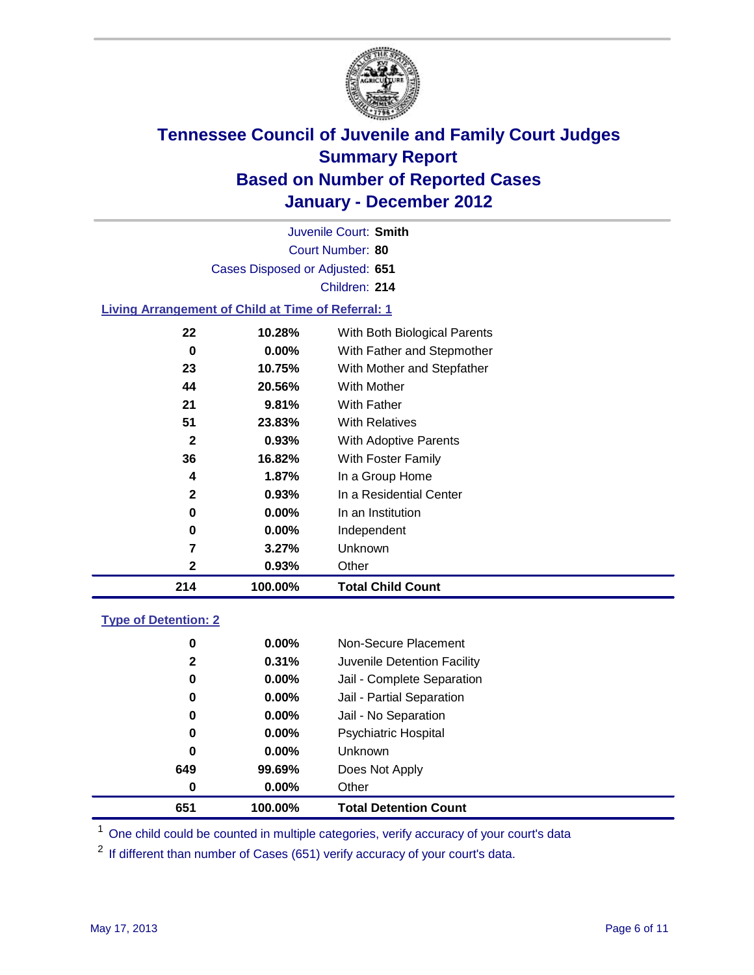

Court Number: **80** Juvenile Court: **Smith** Cases Disposed or Adjusted: **651** Children: **214**

### **Living Arrangement of Child at Time of Referral: 1**

| 214          | 100.00%  | <b>Total Child Count</b>     |
|--------------|----------|------------------------------|
| 2            | 0.93%    | Other                        |
| 7            | 3.27%    | Unknown                      |
| 0            | $0.00\%$ | Independent                  |
| 0            | 0.00%    | In an Institution            |
| 2            | 0.93%    | In a Residential Center      |
| 4            | 1.87%    | In a Group Home              |
| 36           | 16.82%   | With Foster Family           |
| $\mathbf{2}$ | 0.93%    | With Adoptive Parents        |
| 51           | 23.83%   | <b>With Relatives</b>        |
| 21           | 9.81%    | With Father                  |
| 44           | 20.56%   | With Mother                  |
| 23           | 10.75%   | With Mother and Stepfather   |
| 0            | $0.00\%$ | With Father and Stepmother   |
| 22           | 10.28%   | With Both Biological Parents |
|              |          |                              |

### **Type of Detention: 2**

| 651 | 100.00%  | <b>Total Detention Count</b> |  |
|-----|----------|------------------------------|--|
| 0   | 0.00%    | Other                        |  |
| 649 | 99.69%   | Does Not Apply               |  |
| 0   | $0.00\%$ | Unknown                      |  |
| 0   | $0.00\%$ | Psychiatric Hospital         |  |
| 0   | 0.00%    | Jail - No Separation         |  |
| 0   | $0.00\%$ | Jail - Partial Separation    |  |
| 0   | 0.00%    | Jail - Complete Separation   |  |
| 2   | 0.31%    | Juvenile Detention Facility  |  |
| 0   | $0.00\%$ | Non-Secure Placement         |  |
|     |          |                              |  |

<sup>1</sup> One child could be counted in multiple categories, verify accuracy of your court's data

<sup>2</sup> If different than number of Cases (651) verify accuracy of your court's data.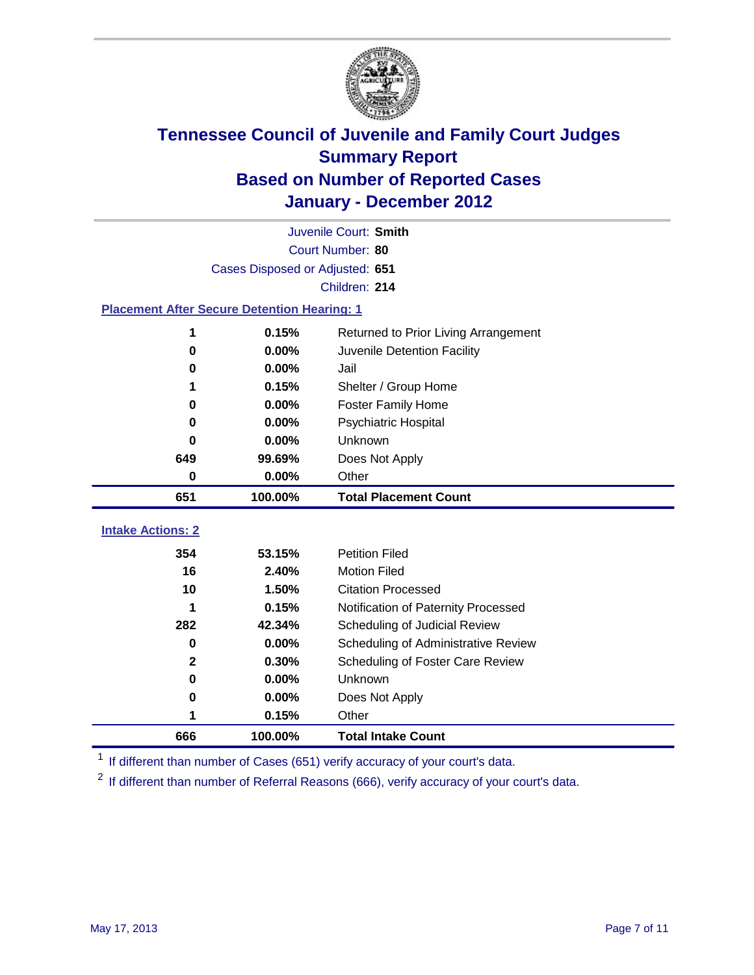

|                                                    | Juvenile Court: Smith           |                                      |  |  |  |
|----------------------------------------------------|---------------------------------|--------------------------------------|--|--|--|
|                                                    | Court Number: 80                |                                      |  |  |  |
|                                                    | Cases Disposed or Adjusted: 651 |                                      |  |  |  |
|                                                    |                                 | Children: 214                        |  |  |  |
| <b>Placement After Secure Detention Hearing: 1</b> |                                 |                                      |  |  |  |
| 1                                                  | 0.15%                           | Returned to Prior Living Arrangement |  |  |  |
| $\bf{0}$                                           | 0.00%                           | Juvenile Detention Facility          |  |  |  |
| 0                                                  | 0.00%                           | Jail                                 |  |  |  |
| 1                                                  | 0.15%                           | Shelter / Group Home                 |  |  |  |
| 0                                                  | 0.00%                           | Foster Family Home                   |  |  |  |
| 0                                                  | 0.00%                           | Psychiatric Hospital                 |  |  |  |
| 0                                                  | 0.00%                           | Unknown                              |  |  |  |
| 649                                                | 99.69%                          | Does Not Apply                       |  |  |  |
| 0                                                  | $0.00\%$                        | Other                                |  |  |  |
| 651                                                | 100.00%                         | <b>Total Placement Count</b>         |  |  |  |
| <b>Intake Actions: 2</b>                           |                                 |                                      |  |  |  |
|                                                    |                                 |                                      |  |  |  |
| 354                                                | 53.15%                          | <b>Petition Filed</b>                |  |  |  |
| 16                                                 | 2.40%                           | <b>Motion Filed</b>                  |  |  |  |
| 10                                                 | 1.50%                           | <b>Citation Processed</b>            |  |  |  |
| 1                                                  | 0.15%                           | Notification of Paternity Processed  |  |  |  |
| 282                                                | 42.34%                          | Scheduling of Judicial Review        |  |  |  |
| $\bf{0}$                                           | 0.00%                           | Scheduling of Administrative Review  |  |  |  |
| $\mathbf{2}$                                       | 0.30%                           | Scheduling of Foster Care Review     |  |  |  |
| $\bf{0}$                                           | 0.00%                           | Unknown                              |  |  |  |
| 0                                                  | 0.00%                           | Does Not Apply                       |  |  |  |
| 1                                                  | 0.15%                           | Other                                |  |  |  |
| 666                                                | 100.00%                         | <b>Total Intake Count</b>            |  |  |  |

<sup>1</sup> If different than number of Cases (651) verify accuracy of your court's data.

<sup>2</sup> If different than number of Referral Reasons (666), verify accuracy of your court's data.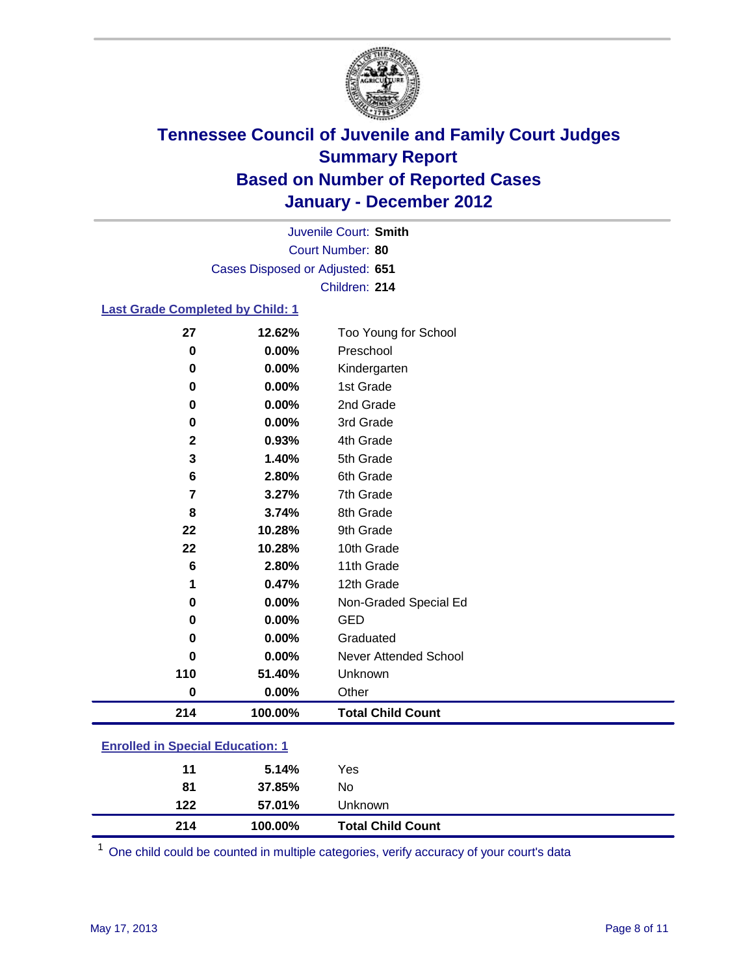

Court Number: **80** Juvenile Court: **Smith** Cases Disposed or Adjusted: **651** Children: **214**

#### **Last Grade Completed by Child: 1**

| 27                                      | 12.62%   | Too Young for School         |  |
|-----------------------------------------|----------|------------------------------|--|
| $\pmb{0}$                               | 0.00%    | Preschool                    |  |
| 0                                       | 0.00%    | Kindergarten                 |  |
| 0                                       | 0.00%    | 1st Grade                    |  |
| 0                                       | 0.00%    | 2nd Grade                    |  |
| 0                                       | 0.00%    | 3rd Grade                    |  |
| $\mathbf 2$                             | 0.93%    | 4th Grade                    |  |
| 3                                       | 1.40%    | 5th Grade                    |  |
| 6                                       | 2.80%    | 6th Grade                    |  |
| 7                                       | 3.27%    | 7th Grade                    |  |
| 8                                       | 3.74%    | 8th Grade                    |  |
| 22                                      | 10.28%   | 9th Grade                    |  |
| 22                                      | 10.28%   | 10th Grade                   |  |
| 6                                       | 2.80%    | 11th Grade                   |  |
| 1                                       | 0.47%    | 12th Grade                   |  |
| 0                                       | 0.00%    | Non-Graded Special Ed        |  |
| 0                                       | 0.00%    | <b>GED</b>                   |  |
| 0                                       | $0.00\%$ | Graduated                    |  |
| 0                                       | 0.00%    | <b>Never Attended School</b> |  |
| 110                                     | 51.40%   | Unknown                      |  |
| $\pmb{0}$                               | 0.00%    | Other                        |  |
| 214                                     | 100.00%  | <b>Total Child Count</b>     |  |
| <b>Enrolled in Special Education: 1</b> |          |                              |  |

| 214 | 100.00% | <b>Total Child Count</b> |
|-----|---------|--------------------------|
| 122 | 57.01%  | Unknown                  |
| 81  | 37.85%  | No                       |
| 11  | 5.14%   | Yes                      |
|     |         |                          |

One child could be counted in multiple categories, verify accuracy of your court's data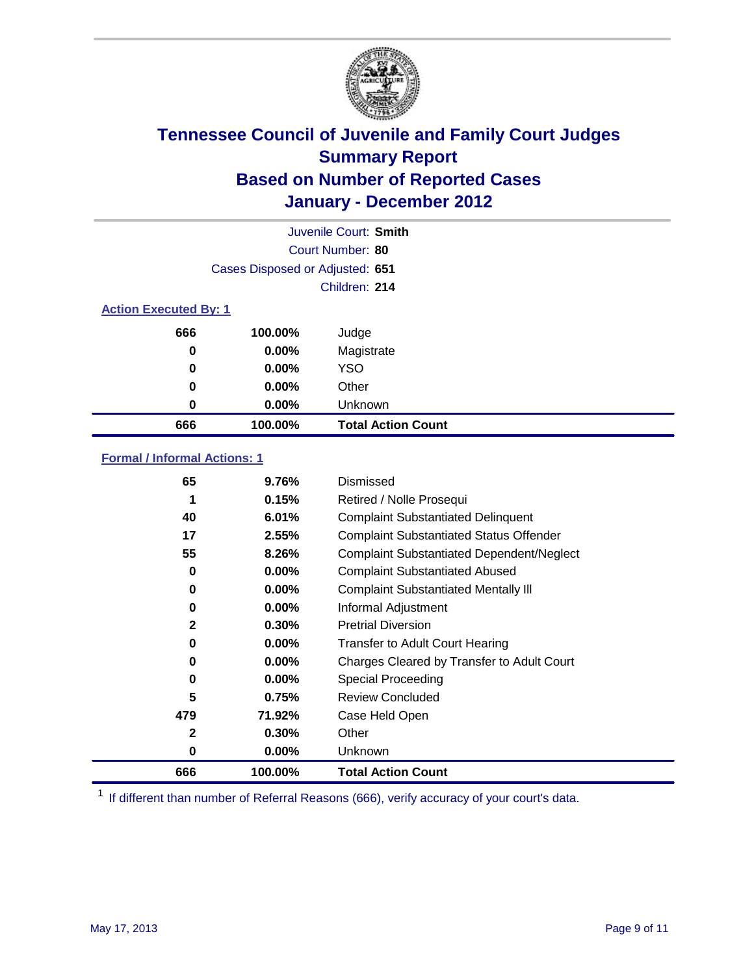

|                              | Juvenile Court: Smith           |                           |  |  |
|------------------------------|---------------------------------|---------------------------|--|--|
|                              | Court Number: 80                |                           |  |  |
|                              | Cases Disposed or Adjusted: 651 |                           |  |  |
|                              |                                 | Children: 214             |  |  |
| <b>Action Executed By: 1</b> |                                 |                           |  |  |
| 666                          | 100.00%                         | Judge                     |  |  |
| $\bf{0}$                     | $0.00\%$                        | Magistrate                |  |  |
| $\bf{0}$                     | 0.00%                           | <b>YSO</b>                |  |  |
| 0                            | 0.00%                           | Other                     |  |  |
| 0                            | 0.00%                           | Unknown                   |  |  |
| 666                          | 100.00%                         | <b>Total Action Count</b> |  |  |

### **Formal / Informal Actions: 1**

| 65           | 9.76%    | Dismissed                                        |
|--------------|----------|--------------------------------------------------|
| 1            | 0.15%    | Retired / Nolle Prosequi                         |
| 40           | 6.01%    | <b>Complaint Substantiated Delinquent</b>        |
| 17           | 2.55%    | <b>Complaint Substantiated Status Offender</b>   |
| 55           | 8.26%    | <b>Complaint Substantiated Dependent/Neglect</b> |
| 0            | $0.00\%$ | <b>Complaint Substantiated Abused</b>            |
| 0            | $0.00\%$ | <b>Complaint Substantiated Mentally III</b>      |
| 0            | $0.00\%$ | Informal Adjustment                              |
| $\mathbf{2}$ | 0.30%    | <b>Pretrial Diversion</b>                        |
| 0            | $0.00\%$ | <b>Transfer to Adult Court Hearing</b>           |
| 0            | $0.00\%$ | Charges Cleared by Transfer to Adult Court       |
| 0            | $0.00\%$ | Special Proceeding                               |
| 5            | 0.75%    | <b>Review Concluded</b>                          |
| 479          | 71.92%   | Case Held Open                                   |
| $\mathbf{2}$ | 0.30%    | Other                                            |
| 0            | $0.00\%$ | Unknown                                          |
| 666          | 100.00%  | <b>Total Action Count</b>                        |

<sup>1</sup> If different than number of Referral Reasons (666), verify accuracy of your court's data.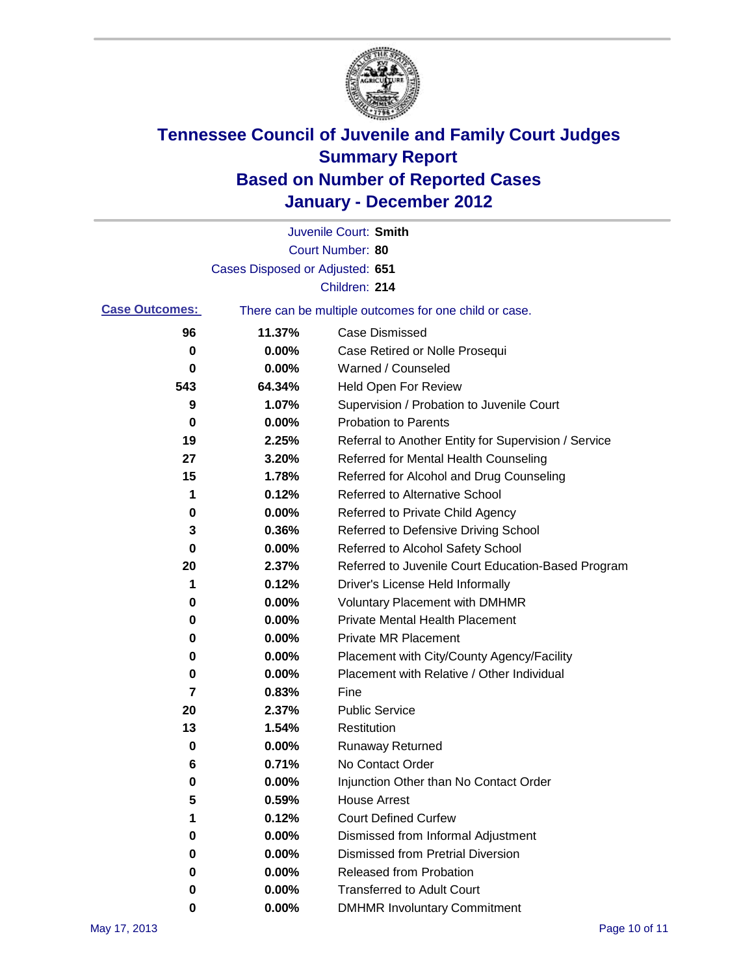

|                       |                                 | Juvenile Court: Smith                                 |
|-----------------------|---------------------------------|-------------------------------------------------------|
|                       |                                 | Court Number: 80                                      |
|                       | Cases Disposed or Adjusted: 651 |                                                       |
|                       |                                 | Children: 214                                         |
| <b>Case Outcomes:</b> |                                 | There can be multiple outcomes for one child or case. |
| 96                    | 11.37%                          | <b>Case Dismissed</b>                                 |
| 0                     | 0.00%                           | Case Retired or Nolle Prosequi                        |
| 0                     | 0.00%                           | Warned / Counseled                                    |
| 543                   | 64.34%                          | Held Open For Review                                  |
| 9                     | 1.07%                           | Supervision / Probation to Juvenile Court             |
| 0                     | 0.00%                           | <b>Probation to Parents</b>                           |
| 19                    | 2.25%                           | Referral to Another Entity for Supervision / Service  |
| 27                    | 3.20%                           | Referred for Mental Health Counseling                 |
| 15                    | 1.78%                           | Referred for Alcohol and Drug Counseling              |
| 1                     | 0.12%                           | <b>Referred to Alternative School</b>                 |
| 0                     | 0.00%                           | Referred to Private Child Agency                      |
| 3                     | 0.36%                           | Referred to Defensive Driving School                  |
| 0                     | 0.00%                           | Referred to Alcohol Safety School                     |
| 20                    | 2.37%                           | Referred to Juvenile Court Education-Based Program    |
| 1                     | 0.12%                           | Driver's License Held Informally                      |
| 0                     | 0.00%                           | <b>Voluntary Placement with DMHMR</b>                 |
| 0                     | 0.00%                           | <b>Private Mental Health Placement</b>                |
| 0                     | 0.00%                           | <b>Private MR Placement</b>                           |
| 0                     | 0.00%                           | Placement with City/County Agency/Facility            |
| 0                     | 0.00%                           | Placement with Relative / Other Individual            |
| 7                     | 0.83%                           | Fine                                                  |
| 20                    | 2.37%                           | <b>Public Service</b>                                 |
| 13                    | 1.54%                           | Restitution                                           |
| 0                     | 0.00%                           | <b>Runaway Returned</b>                               |
| 6                     | 0.71%                           | No Contact Order                                      |
| 0                     | 0.00%                           | Injunction Other than No Contact Order                |
| 5                     | 0.59%                           | <b>House Arrest</b>                                   |
| 1                     | 0.12%                           | <b>Court Defined Curfew</b>                           |
| 0                     | 0.00%                           | Dismissed from Informal Adjustment                    |
| 0                     | 0.00%                           | <b>Dismissed from Pretrial Diversion</b>              |
| 0                     | 0.00%                           | Released from Probation                               |
| 0                     | 0.00%                           | <b>Transferred to Adult Court</b>                     |
| 0                     | $0.00\%$                        | <b>DMHMR Involuntary Commitment</b>                   |